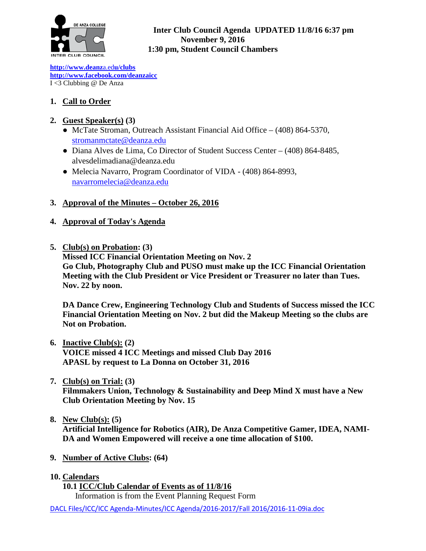

#### **Inter Club Council Agenda UPDATED 11/8/16 6:37 pm November 9, 2016 1:30 pm, Student Council Chambers**

**[http://www.deanz](http://www.deanza.edu/clubs)**[a.ed](http://www.deanza.edu/clubs)**[u/clubs](http://www.deanza.edu/clubs) [http://www.facebook.com/deanzaicc](http://www.facebook.com/home.php#!/group.php?gid=59034552686)** I <3 Clubbing @ De Anza

# **1. Call to Order**

## **2. Guest Speaker(s) (3)**

- McTate Stroman, Outreach Assistant Financial Aid Office (408) 864-5370, [stromanm](mailto:stroman)ctate@deanza.edu
- Diana Alves de Lima, Co Director of Student Success Center (408) 864-8485, alvesdelimadiana@deanza.edu
- Melecia Navarro, Program Coordinator of VIDA (408) 864-8993, [navarromelecia@deanza.edu](mailto:navarromelecia@deanza.edu)

## **3. Approval of the Minutes – October 26, 2016**

## **4. Approval of Today's Agenda**

**5. Club(s) on Probation: (3)** 

**Missed ICC Financial Orientation Meeting on Nov. 2 Go Club, Photography Club and PUSO must make up the ICC Financial Orientation Meeting with the Club President or Vice President or Treasurer no later than Tues. Nov. 22 by noon.**

**DA Dance Crew, Engineering Technology Club and Students of Success missed the ICC Financial Orientation Meeting on Nov. 2 but did the Makeup Meeting so the clubs are Not on Probation.**

**6. Inactive Club(s): (2) VOICE missed 4 ICC Meetings and missed Club Day 2016 APASL by request to La Donna on October 31, 2016**

# **7. Club(s) on Trial: (3)**

**Filmmakers Union, Technology & Sustainability and Deep Mind X must have a New Club Orientation Meeting by Nov. 15**

- **8. New Club(s): (5) Artificial Intelligence for Robotics (AIR), De Anza Competitive Gamer, IDEA, NAMI-DA and Women Empowered will receive a one time allocation of \$100.**
- **9. Number of Active Clubs: (64)**

#### **10. Calendars**

**10.1 ICC/Club Calendar of Events as of 11/8/16** Information is from the Event Planning Request Form

DACL Files/ICC/ICC Agenda-Minutes/ICC Agenda/2016-2017/Fall 2016/2016-11-09ia.doc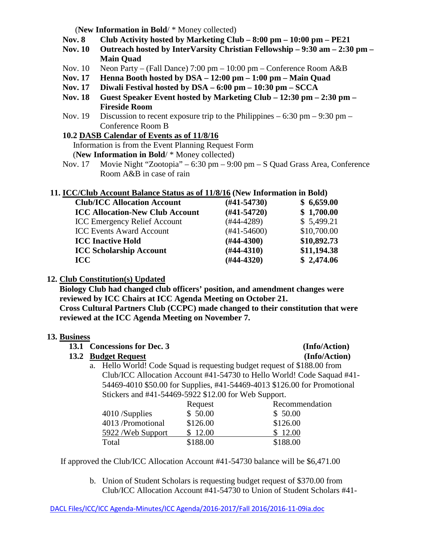(**New Information in Bold**/ \* Money collected)

- **Nov. 8 Club Activity hosted by Marketing Club – 8:00 pm – 10:00 pm – PE21**
- **Nov. 10 Outreach hosted by InterVarsity Christian Fellowship – 9:30 am – 2:30 pm – Main Quad**
- Nov. 10 Neon Party (Fall Dance) 7:00 pm 10:00 pm Conference Room A&B
- **Nov. 17 Henna Booth hosted by DSA – 12:00 pm – 1:00 pm – Main Quad**
- **Nov. 17 Diwali Festival hosted by DSA – 6:00 pm – 10:30 pm – SCCA**
- **Nov. 18 Guest Speaker Event hosted by Marketing Club – 12:30 pm – 2:30 pm – Fireside Room**
- Nov. 19 Discussion to recent exposure trip to the Philippines  $-6:30$  pm  $-9:30$  pm  $-$ Conference Room B
- **10.2 DASB Calendar of Events as of 11/8/16**

Information is from the Event Planning Request Form

(**New Information in Bold**/ \* Money collected)

Nov. 17 Movie Night "Zootopia" – 6:30 pm – 9:00 pm – S Quad Grass Area, Conference Room A&B in case of rain

#### **11. ICC/Club Account Balance Status as of 11/8/16 (New Information in Bold)**

| $(\#41 - 54730)$ | \$6,659.00  |
|------------------|-------------|
| $(#41-54720)$    | \$1,700.00  |
| $(#44-4289)$     | \$5,499.21  |
| $(#41-54600)$    | \$10,700.00 |
| $(\#44-4300)$    | \$10,892.73 |
| $(H44-4310)$     | \$11,194.38 |
| $(H44-4320)$     | \$2,474.06  |
|                  |             |

#### **12. Club Constitution(s) Updated**

**Biology Club had changed club officers' position, and amendment changes were reviewed by ICC Chairs at ICC Agenda Meeting on October 21. Cross Cultural Partners Club (CCPC) made changed to their constitution that were reviewed at the ICC Agenda Meeting on November 7.**

#### **13. Business**

|  | 13.1 Concessions for Dec. 3                                                                                                                                                                                                                                                                                       | (Info/Action) |
|--|-------------------------------------------------------------------------------------------------------------------------------------------------------------------------------------------------------------------------------------------------------------------------------------------------------------------|---------------|
|  | 13.2 Budget Request                                                                                                                                                                                                                                                                                               | (Info/Action) |
|  | a. Hello World! Code Squad is requesting budget request of \$188.00 from                                                                                                                                                                                                                                          |               |
|  | Club/ICC Allocation Account #41-54730 to Hello World! Code Saquad #4                                                                                                                                                                                                                                              |               |
|  | $\mathcal{L}$ 4.4 $\mathcal{L}$ 0.4 $\mathcal{L}$ 0.4 $\mathcal{L}$ 0.4 $\mathcal{L}$ 1.4 $\mathcal{L}$ 4.4 $\mathcal{L}$ 4.4 $\mathcal{L}$ 0.4 $\mathcal{L}$ 0.0 $\mathcal{L}$ 0.5 $\mathcal{L}$ 1.4 $\mathcal{L}$ 1.4 $\mathcal{L}$ 4.4 $\mathcal{L}$ 0.4 $\mathcal{L}$ 0.0 $\mathcal{L}$ 0.4 $\mathcal{L}$ 1.4 |               |

Club/ICC Allocation Account #41-54730 to Hello World! Code Saquad #41- 54469-4010 \$50.00 for Supplies, #41-54469-4013 \$126.00 for Promotional Stickers and #41-54469-5922 \$12.00 for Web Support. **Repeated** 

|                    | Request  | Recommendatio |
|--------------------|----------|---------------|
| $4010$ /Supplies   | \$50.00  | \$50.00       |
| 4013 /Promotional  | \$126.00 | \$126.00      |
| 5922 / Web Support | \$12.00  | \$12.00       |
| Total              | \$188.00 | \$188.00      |

If approved the Club/ICC Allocation Account #41-54730 balance will be \$6,471.00

b. Union of Student Scholars is requesting budget request of \$370.00 from Club/ICC Allocation Account #41-54730 to Union of Student Scholars #41-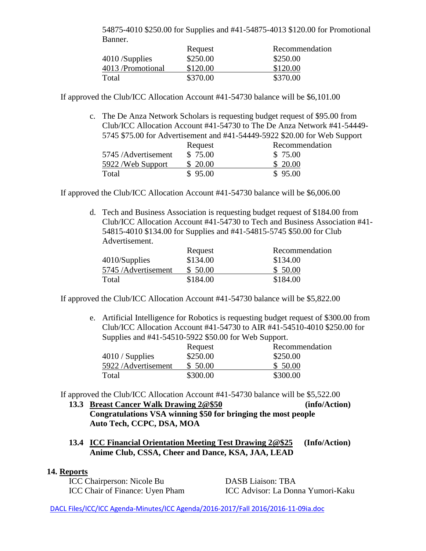| 54875-4010 \$250.00 for Supplies and #41-54875-4013 \$120.00 for Promotional |          |                |  |
|------------------------------------------------------------------------------|----------|----------------|--|
| Banner.                                                                      |          |                |  |
|                                                                              | Request  | Recommendation |  |
| 4010/Supplies                                                                | \$250.00 | \$250.00       |  |
| 4013 /Promotional                                                            | \$120.00 | \$120.00       |  |

If approved the Club/ICC Allocation Account #41-54730 balance will be \$6,101.00

Total \$370.00 \$370.00

c. The De Anza Network Scholars is requesting budget request of \$95.00 from Club/ICC Allocation Account #41-54730 to The De Anza Network #41-54449- 5745 \$75.00 for Advertisement and #41-54449-5922 \$20.00 for Web Support Request Recommendation 5745 /Advertisement \$ 75.00 \$ 75.00

| $5/45$ /Advertisement | 3/5.00   | \$ 75.00 |
|-----------------------|----------|----------|
| 5922 / Web Support    | \$ 20.00 | \$ 20.00 |
| Total                 | \$95.00  | \$95.00  |

If approved the Club/ICC Allocation Account #41-54730 balance will be \$6,006.00

d. Tech and Business Association is requesting budget request of \$184.00 from Club/ICC Allocation Account #41-54730 to Tech and Business Association #41- 54815-4010 \$134.00 for Supplies and #41-54815-5745 \$50.00 for Club Advertisement.

|                     | Request  | Recommendation |
|---------------------|----------|----------------|
| 4010/Supplies       | \$134.00 | \$134.00       |
| 5745 /Advertisement | \$ 50.00 | \$50.00        |
| Total               | \$184.00 | \$184.00       |

If approved the Club/ICC Allocation Account #41-54730 balance will be \$5,822.00

e. Artificial Intelligence for Robotics is requesting budget request of \$300.00 from Club/ICC Allocation Account #41-54730 to AIR #41-54510-4010 \$250.00 for Supplies and #41-54510-5922 \$50.00 for Web Support.

|                    | Request  | Recommendation |
|--------------------|----------|----------------|
| $4010 /$ Supplies  | \$250.00 | \$250.00       |
| 5922/Advertisement | \$ 50.00 | \$50.00        |
| Total              | \$300.00 | \$300.00       |

If approved the Club/ICC Allocation Account #41-54730 balance will be \$5,522.00

- **13.3 Breast Cancer Walk Drawing 2@\$50 (info/Action) Congratulations VSA winning \$50 for bringing the most people Auto Tech, CCPC, DSA, MOA**
- **13.4 ICC Financial Orientation Meeting Test Drawing 2@\$25 (Info/Action) Anime Club, CSSA, Cheer and Dance, KSA, JAA, LEAD**

#### **14. Reports**

ICC Chairperson: Nicole Bu DASB Liaison: TBA

ICC Chair of Finance: Uyen Pham ICC Advisor: La Donna Yumori-Kaku

DACL Files/ICC/ICC Agenda-Minutes/ICC Agenda/2016-2017/Fall 2016/2016-11-09ia.doc